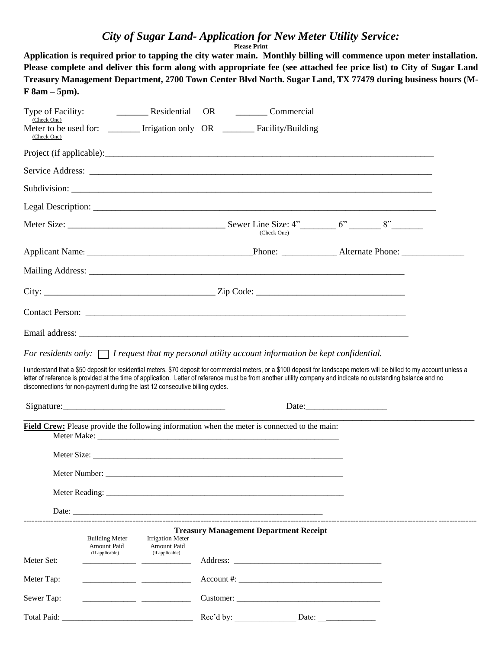# *City of Sugar Land- Application for New Meter Utility Service:*

**Please Print**

**Application is required prior to tapping the city water main. Monthly billing will commence upon meter installation. Please complete and deliver this form along with appropriate fee (see attached fee price list) to City of Sugar Land Treasury Management Department, 2700 Town Center Blvd North. Sugar Land, TX 77479 during business hours (M-F 8am – 5pm).** 

| Type of Facility:<br>(Check One) |                                                                               |                                        |                                                                                                                                                                                                                                                                                                                                               |  |  |  |
|----------------------------------|-------------------------------------------------------------------------------|----------------------------------------|-----------------------------------------------------------------------------------------------------------------------------------------------------------------------------------------------------------------------------------------------------------------------------------------------------------------------------------------------|--|--|--|
| (Check One)                      |                                                                               |                                        | Meter to be used for: _______ Irrigation only OR ______ Facility/Building                                                                                                                                                                                                                                                                     |  |  |  |
|                                  |                                                                               |                                        |                                                                                                                                                                                                                                                                                                                                               |  |  |  |
|                                  |                                                                               |                                        | Service Address:                                                                                                                                                                                                                                                                                                                              |  |  |  |
|                                  |                                                                               |                                        |                                                                                                                                                                                                                                                                                                                                               |  |  |  |
|                                  |                                                                               |                                        |                                                                                                                                                                                                                                                                                                                                               |  |  |  |
|                                  |                                                                               |                                        | (Check One)                                                                                                                                                                                                                                                                                                                                   |  |  |  |
|                                  |                                                                               |                                        |                                                                                                                                                                                                                                                                                                                                               |  |  |  |
|                                  |                                                                               |                                        |                                                                                                                                                                                                                                                                                                                                               |  |  |  |
|                                  |                                                                               |                                        |                                                                                                                                                                                                                                                                                                                                               |  |  |  |
|                                  |                                                                               |                                        |                                                                                                                                                                                                                                                                                                                                               |  |  |  |
|                                  |                                                                               |                                        |                                                                                                                                                                                                                                                                                                                                               |  |  |  |
|                                  |                                                                               |                                        | For residents only: $\Box$ I request that my personal utility account information be kept confidential.                                                                                                                                                                                                                                       |  |  |  |
|                                  |                                                                               |                                        | I understand that a \$50 deposit for residential meters, \$70 deposit for commercial meters, or a \$100 deposit for landscape meters will be billed to my account unless a<br>letter of reference is provided at the time of application. Letter of reference must be from another utility company and indicate no outstanding balance and no |  |  |  |
|                                  | disconnections for non-payment during the last 12 consecutive billing cycles. |                                        |                                                                                                                                                                                                                                                                                                                                               |  |  |  |
|                                  | $Sigma$ :                                                                     |                                        |                                                                                                                                                                                                                                                                                                                                               |  |  |  |
|                                  |                                                                               |                                        | Field Crew: Please provide the following information when the meter is connected to the main:                                                                                                                                                                                                                                                 |  |  |  |
|                                  |                                                                               |                                        |                                                                                                                                                                                                                                                                                                                                               |  |  |  |
|                                  |                                                                               |                                        |                                                                                                                                                                                                                                                                                                                                               |  |  |  |
|                                  |                                                                               |                                        |                                                                                                                                                                                                                                                                                                                                               |  |  |  |
|                                  |                                                                               |                                        |                                                                                                                                                                                                                                                                                                                                               |  |  |  |
|                                  |                                                                               |                                        | Date: $\qquad \qquad \qquad$                                                                                                                                                                                                                                                                                                                  |  |  |  |
|                                  | <b>Building Meter</b><br>Amount Paid                                          | <b>Irrigation Meter</b><br>Amount Paid | <b>Treasury Management Department Receipt</b>                                                                                                                                                                                                                                                                                                 |  |  |  |
| Meter Set:                       | (If applicable)                                                               | (if applicable)                        |                                                                                                                                                                                                                                                                                                                                               |  |  |  |
| Meter Tap:                       |                                                                               |                                        |                                                                                                                                                                                                                                                                                                                                               |  |  |  |
| Sewer Tap:                       |                                                                               |                                        |                                                                                                                                                                                                                                                                                                                                               |  |  |  |